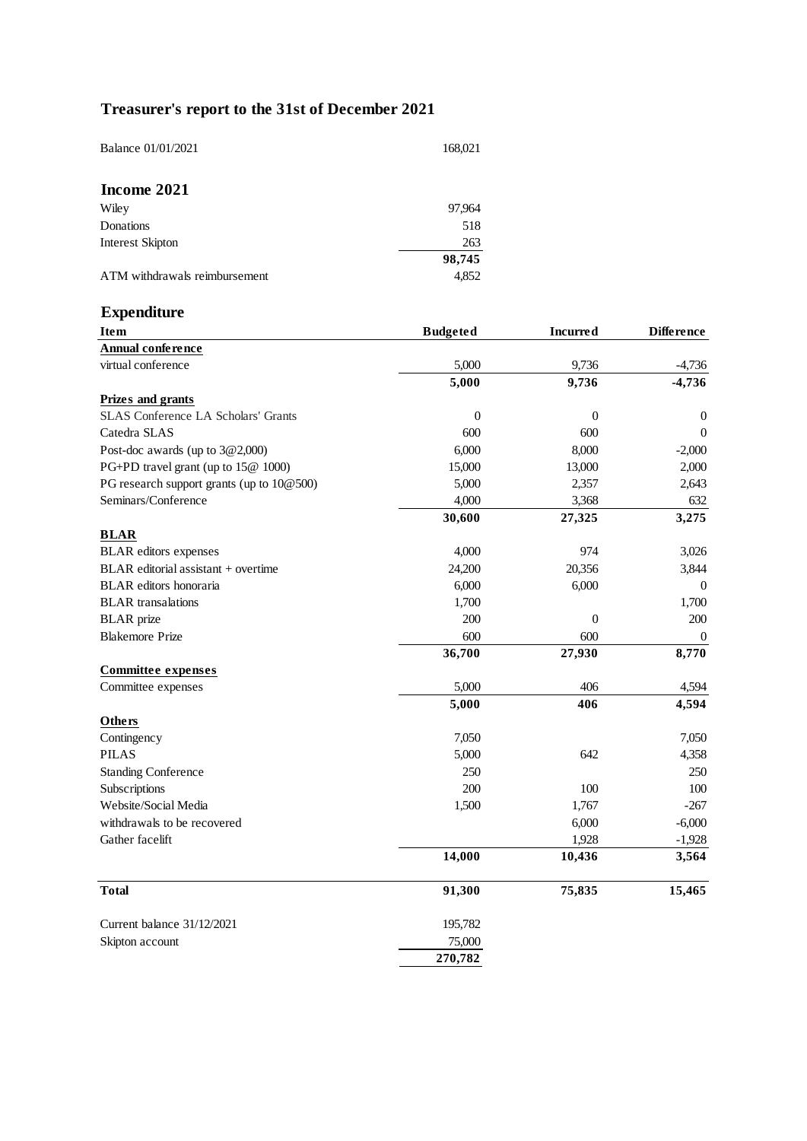# **Treasurer's report to the 31st of December 2021**

| Balance 01/01/2021            | 168,021 |
|-------------------------------|---------|
| Income 2021                   |         |
| Wiley                         | 97,964  |
| Donations                     | 518     |
| <b>Interest Skipton</b>       | 263     |
|                               | 98,745  |
| ATM withdrawals reimbursement | 4,852   |

# **Expenditure**

| <b>Item</b>                                | <b>Budgeted</b>  | <b>Incurred</b>  | <b>Difference</b> |
|--------------------------------------------|------------------|------------------|-------------------|
| <b>Annual conference</b>                   |                  |                  |                   |
| virtual conference                         | 5,000            | 9,736            | $-4,736$          |
|                                            | 5,000            | 9,736            | $-4,736$          |
| <b>Prizes and grants</b>                   |                  |                  |                   |
| <b>SLAS Conference LA Scholars' Grants</b> | $\boldsymbol{0}$ | 0                | $\overline{0}$    |
| Catedra SLAS                               | 600              | 600              | $\theta$          |
| Post-doc awards (up to 3@2,000)            | 6,000            | 8,000            | $-2,000$          |
| PG+PD travel grant (up to 15@ 1000)        | 15,000           | 13,000           | 2,000             |
| PG research support grants (up to 10@500)  | 5,000            | 2,357            | 2,643             |
| Seminars/Conference                        | 4,000            | 3,368            | 632               |
|                                            | 30,600           | 27,325           | 3,275             |
| <b>BLAR</b>                                |                  |                  |                   |
| <b>BLAR</b> editors expenses               | 4,000            | 974              | 3,026             |
| BLAR editorial assistant + overtime        | 24,200           | 20,356           | 3,844             |
| <b>BLAR</b> editors honoraria              | 6,000            | 6,000            | $\overline{0}$    |
| <b>BLAR</b> transalations                  | 1,700            |                  | 1,700             |
| <b>BLAR</b> prize                          | 200              | $\boldsymbol{0}$ | 200               |
| <b>Blakemore Prize</b>                     | 600              | 600              | $\overline{0}$    |
|                                            | 36,700           | 27,930           | 8,770             |
| <b>Committee expenses</b>                  |                  |                  |                   |
| Committee expenses                         | 5,000            | 406              | 4,594             |
|                                            | 5,000            | 406              | 4,594             |
| Others                                     |                  |                  |                   |
| Contingency                                | 7,050            |                  | 7,050             |
| <b>PILAS</b>                               | 5,000            | 642              | 4,358             |
| <b>Standing Conference</b>                 | 250              |                  | 250               |
| Subscriptions                              | 200              | 100              | 100               |
| Website/Social Media                       | 1,500            | 1,767            | $-267$            |
| withdrawals to be recovered                |                  | 6,000            | $-6,000$          |
| Gather facelift                            |                  | 1,928            | $-1,928$          |
|                                            | 14,000           | 10,436           | 3,564             |
| <b>Total</b>                               | 91,300           | 75,835           | 15,465            |
| Current balance 31/12/2021                 | 195,782          |                  |                   |
| Skipton account                            | 75,000           |                  |                   |
|                                            | 270,782          |                  |                   |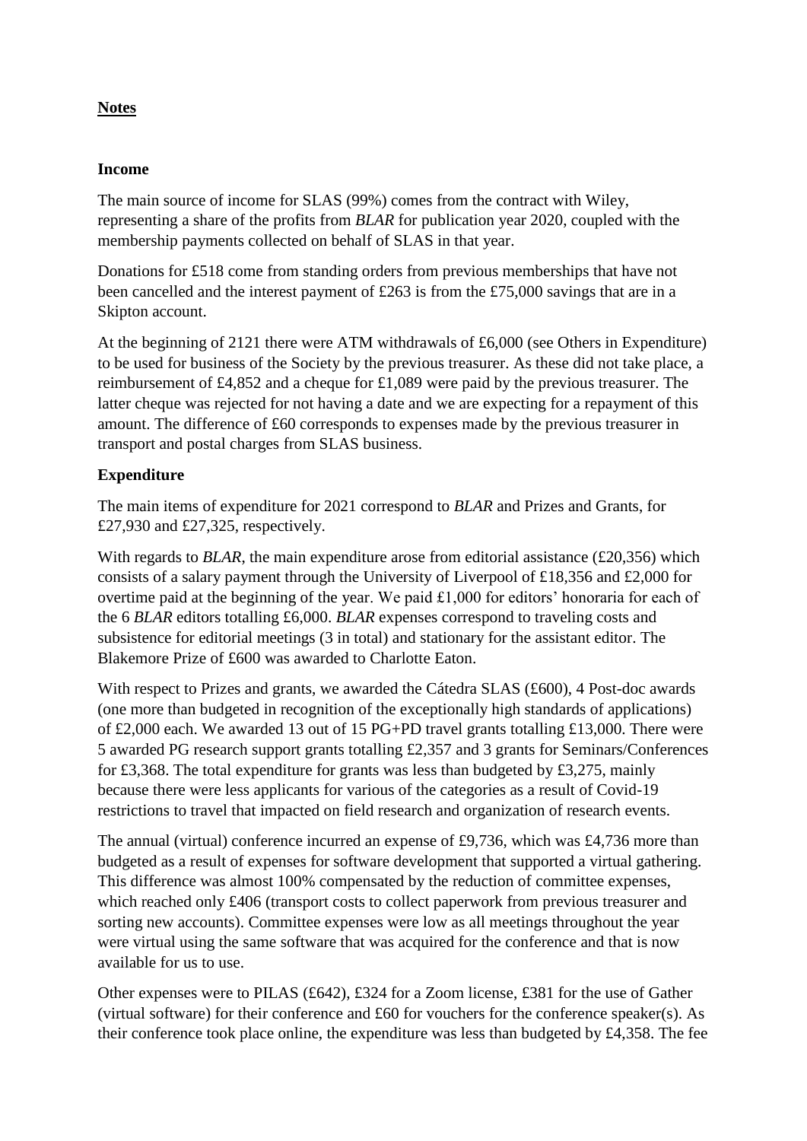## **Notes**

#### **Income**

The main source of income for SLAS (99%) comes from the contract with Wiley, representing a share of the profits from *BLAR* for publication year 2020, coupled with the membership payments collected on behalf of SLAS in that year.

Donations for £518 come from standing orders from previous memberships that have not been cancelled and the interest payment of £263 is from the £75,000 savings that are in a Skipton account.

At the beginning of 2121 there were ATM withdrawals of £6,000 (see Others in Expenditure) to be used for business of the Society by the previous treasurer. As these did not take place, a reimbursement of £4,852 and a cheque for £1,089 were paid by the previous treasurer. The latter cheque was rejected for not having a date and we are expecting for a repayment of this amount. The difference of £60 corresponds to expenses made by the previous treasurer in transport and postal charges from SLAS business.

## **Expenditure**

The main items of expenditure for 2021 correspond to *BLAR* and Prizes and Grants, for £27,930 and £27,325, respectively.

With regards to *BLAR*, the main expenditure arose from editorial assistance (£20,356) which consists of a salary payment through the University of Liverpool of £18,356 and £2,000 for overtime paid at the beginning of the year. We paid £1,000 for editors' honoraria for each of the 6 *BLAR* editors totalling £6,000. *BLAR* expenses correspond to traveling costs and subsistence for editorial meetings (3 in total) and stationary for the assistant editor. The Blakemore Prize of £600 was awarded to Charlotte Eaton.

With respect to Prizes and grants, we awarded the Cátedra SLAS (£600), 4 Post-doc awards (one more than budgeted in recognition of the exceptionally high standards of applications) of £2,000 each. We awarded 13 out of 15 PG+PD travel grants totalling £13,000. There were 5 awarded PG research support grants totalling £2,357 and 3 grants for Seminars/Conferences for £3,368. The total expenditure for grants was less than budgeted by £3,275, mainly because there were less applicants for various of the categories as a result of Covid-19 restrictions to travel that impacted on field research and organization of research events.

The annual (virtual) conference incurred an expense of £9,736, which was £4,736 more than budgeted as a result of expenses for software development that supported a virtual gathering. This difference was almost 100% compensated by the reduction of committee expenses, which reached only £406 (transport costs to collect paperwork from previous treasurer and sorting new accounts). Committee expenses were low as all meetings throughout the year were virtual using the same software that was acquired for the conference and that is now available for us to use.

Other expenses were to PILAS (£642), £324 for a Zoom license, £381 for the use of Gather (virtual software) for their conference and £60 for vouchers for the conference speaker(s). As their conference took place online, the expenditure was less than budgeted by £4,358. The fee